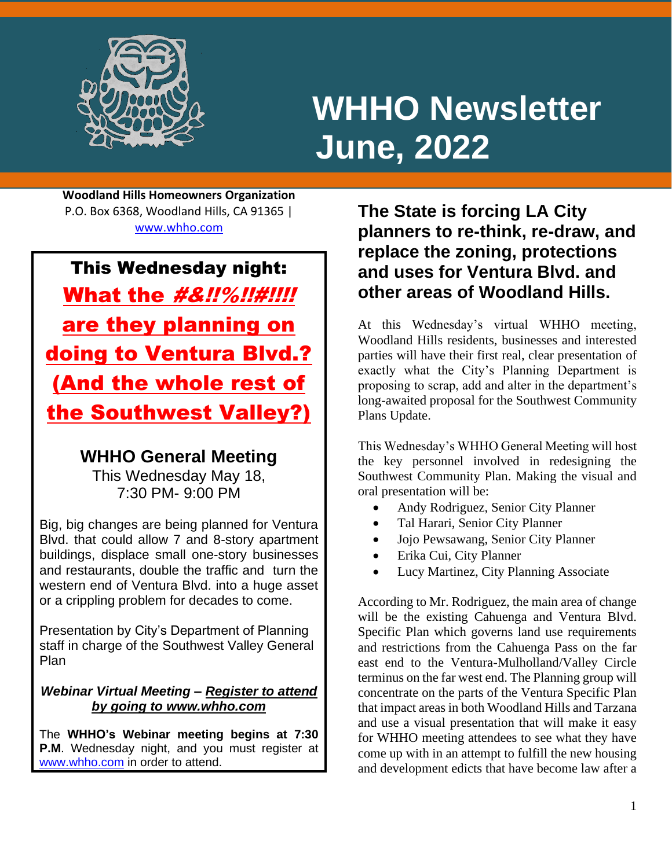

i<br>L

# **WHHO Newsletter June, 2022**

**Woodland Hills Homeowners Organization** P.O. Box 6368, Woodland Hills, CA 91365 | [www.whho.com](http://www.whho.com/)

This Wednesday night: What the #&!!%!!#!!!! are they planning on doing to Ventura Blvd.? (And the whole rest of the Southwest Valley?)

## **WHHO General Meeting**

This Wednesday May 18, 7:30 PM- 9:00 PM

Big, big changes are being planned for Ventura Blvd. that could allow 7 and 8-story apartment buildings, displace small one-story businesses and restaurants, double the traffic and turn the western end of Ventura Blvd. into a huge asset or a crippling problem for decades to come.

Presentation by City's Department of Planning staff in charge of the Southwest Valley General Plan

### *Webinar Virtual Meeting – Register to attend by going to www.whho.com*

The **WHHO's Webinar meeting begins at 7:30 P.M**. Wednesday night, and you must register at [www.whho.com](http://www.whho.com/) in order to attend.

**The State is forcing LA City planners to re-think, re-draw, and replace the zoning, protections and uses for Ventura Blvd. and other areas of Woodland Hills.**

At this Wednesday's virtual WHHO meeting, Woodland Hills residents, businesses and interested parties will have their first real, clear presentation of exactly what the City's Planning Department is proposing to scrap, add and alter in the department's long-awaited proposal for the Southwest Community Plans Update.

This Wednesday's WHHO General Meeting will host the key personnel involved in redesigning the Southwest Community Plan. Making the visual and oral presentation will be:

- Andy Rodriguez, Senior City Planner
- Tal Harari, Senior City Planner
- Jojo Pewsawang, Senior City Planner
- Erika Cui, City Planner
- Lucy Martinez, City Planning Associate

According to Mr. Rodriguez, the main area of change will be the existing Cahuenga and Ventura Blvd. Specific Plan which governs land use requirements and restrictions from the Cahuenga Pass on the far east end to the Ventura-Mulholland/Valley Circle terminus on the far west end. The Planning group will concentrate on the parts of the Ventura Specific Plan that impact areas in both Woodland Hills and Tarzana and use a visual presentation that will make it easy for WHHO meeting attendees to see what they have come up with in an attempt to fulfill the new housing and development edicts that have become law after a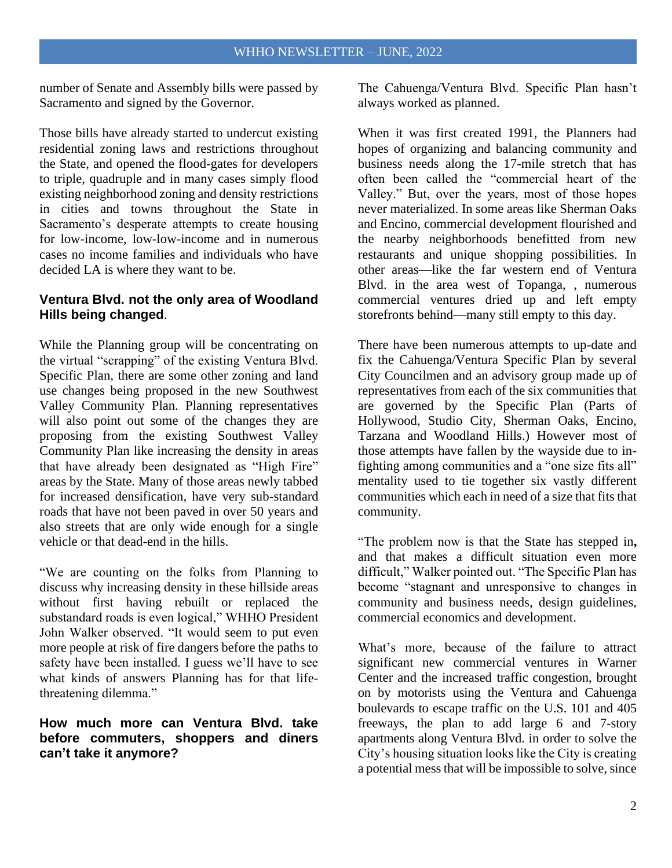number of Senate and Assembly bills were passed by Sacramento and signed by the Governor.

Those bills have already started to undercut existing residential zoning laws and restrictions throughout the State, and opened the flood-gates for developers to triple, quadruple and in many cases simply flood existing neighborhood zoning and density restrictions in cities and towns throughout the State in Sacramento's desperate attempts to create housing for low-income, low-low-income and in numerous cases no income families and individuals who have decided LA is where they want to be.

#### **Ventura Blvd. not the only area of Woodland Hills being changed**.

While the Planning group will be concentrating on the virtual "scrapping" of the existing Ventura Blvd. Specific Plan, there are some other zoning and land use changes being proposed in the new Southwest Valley Community Plan. Planning representatives will also point out some of the changes they are proposing from the existing Southwest Valley Community Plan like increasing the density in areas that have already been designated as "High Fire" areas by the State. Many of those areas newly tabbed for increased densification, have very sub-standard roads that have not been paved in over 50 years and also streets that are only wide enough for a single vehicle or that dead-end in the hills.

"We are counting on the folks from Planning to discuss why increasing density in these hillside areas without first having rebuilt or replaced the substandard roads is even logical," WHHO President John Walker observed. "It would seem to put even more people at risk of fire dangers before the paths to safety have been installed. I guess we'll have to see what kinds of answers Planning has for that lifethreatening dilemma."

#### **How much more can Ventura Blvd. take before commuters, shoppers and diners can't take it anymore?**

The Cahuenga/Ventura Blvd. Specific Plan hasn't always worked as planned.

When it was first created 1991, the Planners had hopes of organizing and balancing community and business needs along the 17-mile stretch that has often been called the "commercial heart of the Valley." But, over the years, most of those hopes never materialized. In some areas like Sherman Oaks and Encino, commercial development flourished and the nearby neighborhoods benefitted from new restaurants and unique shopping possibilities. In other areas—like the far western end of Ventura Blvd. in the area west of Topanga, , numerous commercial ventures dried up and left empty storefronts behind—many still empty to this day.

There have been numerous attempts to up-date and fix the Cahuenga/Ventura Specific Plan by several City Councilmen and an advisory group made up of representatives from each of the six communities that are governed by the Specific Plan (Parts of Hollywood, Studio City, Sherman Oaks, Encino, Tarzana and Woodland Hills.) However most of those attempts have fallen by the wayside due to infighting among communities and a "one size fits all" mentality used to tie together six vastly different communities which each in need of a size that fits that community.

"The problem now is that the State has stepped in**,** and that makes a difficult situation even more difficult," Walker pointed out. "The Specific Plan has become "stagnant and unresponsive to changes in community and business needs, design guidelines, commercial economics and development.

What's more, because of the failure to attract significant new commercial ventures in Warner Center and the increased traffic congestion, brought on by motorists using the Ventura and Cahuenga boulevards to escape traffic on the U.S. 101 and 405 freeways, the plan to add large 6 and 7-story apartments along Ventura Blvd. in order to solve the City's housing situation looks like the City is creating a potential mess that will be impossible to solve, since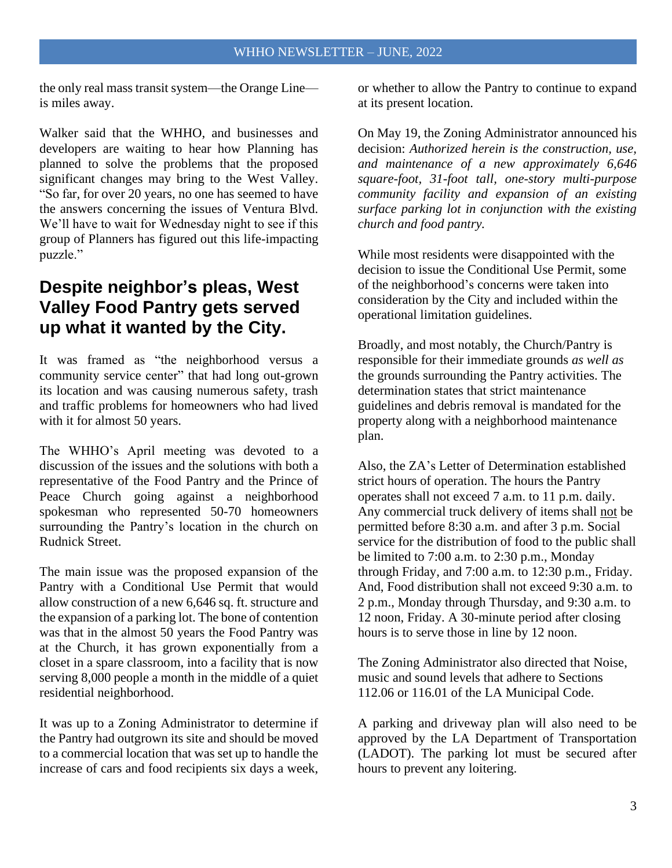the only real mass transit system—the Orange Line is miles away.

Walker said that the WHHO, and businesses and developers are waiting to hear how Planning has planned to solve the problems that the proposed significant changes may bring to the West Valley. "So far, for over 20 years, no one has seemed to have the answers concerning the issues of Ventura Blvd. We'll have to wait for Wednesday night to see if this group of Planners has figured out this life-impacting puzzle."

## **Despite neighbor's pleas, West Valley Food Pantry gets served up what it wanted by the City.**

It was framed as "the neighborhood versus a community service center" that had long out-grown its location and was causing numerous safety, trash and traffic problems for homeowners who had lived with it for almost 50 years.

The WHHO's April meeting was devoted to a discussion of the issues and the solutions with both a representative of the Food Pantry and the Prince of Peace Church going against a neighborhood spokesman who represented 50-70 homeowners surrounding the Pantry's location in the church on Rudnick Street.

The main issue was the proposed expansion of the Pantry with a Conditional Use Permit that would allow construction of a new 6,646 sq. ft. structure and the expansion of a parking lot. The bone of contention was that in the almost 50 years the Food Pantry was at the Church, it has grown exponentially from a closet in a spare classroom, into a facility that is now serving 8,000 people a month in the middle of a quiet residential neighborhood.

It was up to a Zoning Administrator to determine if the Pantry had outgrown its site and should be moved to a commercial location that was set up to handle the increase of cars and food recipients six days a week,

or whether to allow the Pantry to continue to expand at its present location.

On May 19, the Zoning Administrator announced his decision: *Authorized herein is the construction, use, and maintenance of a new approximately 6,646 square-foot, 31-foot tall, one-story multi-purpose community facility and expansion of an existing surface parking lot in conjunction with the existing church and food pantry.* 

While most residents were disappointed with the decision to issue the Conditional Use Permit, some of the neighborhood's concerns were taken into consideration by the City and included within the operational limitation guidelines.

Broadly, and most notably, the Church/Pantry is responsible for their immediate grounds *as well as* the grounds surrounding the Pantry activities. The determination states that strict maintenance guidelines and debris removal is mandated for the property along with a neighborhood maintenance plan.

Also, the ZA's Letter of Determination established strict hours of operation. The hours the Pantry operates shall not exceed 7 a.m. to 11 p.m. daily. Any commercial truck delivery of items shall not be permitted before 8:30 a.m. and after 3 p.m. Social service for the distribution of food to the public shall be limited to 7:00 a.m. to 2:30 p.m., Monday through Friday, and 7:00 a.m. to 12:30 p.m., Friday. And, Food distribution shall not exceed 9:30 a.m. to 2 p.m., Monday through Thursday, and 9:30 a.m. to 12 noon, Friday. A 30-minute period after closing hours is to serve those in line by 12 noon.

The Zoning Administrator also directed that Noise, music and sound levels that adhere to Sections 112.06 or 116.01 of the LA Municipal Code.

A parking and driveway plan will also need to be approved by the LA Department of Transportation (LADOT). The parking lot must be secured after hours to prevent any loitering.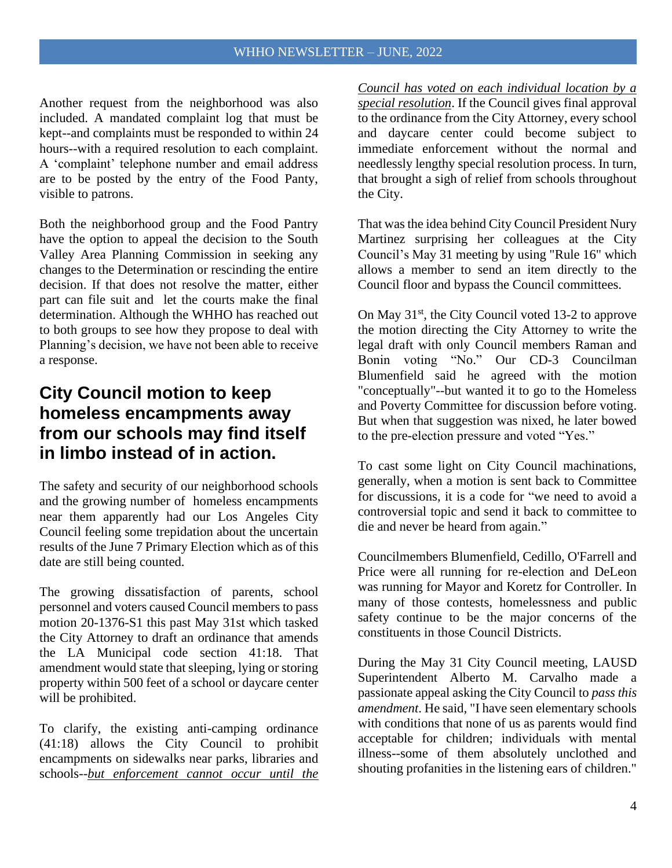Another request from the neighborhood was also included. A mandated complaint log that must be kept--and complaints must be responded to within 24 hours--with a required resolution to each complaint. A 'complaint' telephone number and email address are to be posted by the entry of the Food Panty, visible to patrons.

Both the neighborhood group and the Food Pantry have the option to appeal the decision to the South Valley Area Planning Commission in seeking any changes to the Determination or rescinding the entire decision. If that does not resolve the matter, either part can file suit and let the courts make the final determination. Although the WHHO has reached out to both groups to see how they propose to deal with Planning's decision, we have not been able to receive a response.

# **City Council motion to keep homeless encampments away from our schools may find itself in limbo instead of in action.**

The safety and security of our neighborhood schools and the growing number of homeless encampments near them apparently had our Los Angeles City Council feeling some trepidation about the uncertain results of the June 7 Primary Election which as of this date are still being counted.

The growing dissatisfaction of parents, school personnel and voters caused Council members to pass motion 20-1376-S1 this past May 31st which tasked the City Attorney to draft an ordinance that amends the LA Municipal code section 41:18. That amendment would state that sleeping, lying or storing property within 500 feet of a school or daycare center will be prohibited.

To clarify, the existing anti-camping ordinance (41:18) allows the City Council to prohibit encampments on sidewalks near parks, libraries and schools--*but enforcement cannot occur until the* 

*Council has voted on each individual location by a special resolution*. If the Council gives final approval to the ordinance from the City Attorney, every school and daycare center could become subject to immediate enforcement without the normal and needlessly lengthy special resolution process. In turn, that brought a sigh of relief from schools throughout the City.

That was the idea behind City Council President Nury Martinez surprising her colleagues at the City Council's May 31 meeting by using "Rule 16" which allows a member to send an item directly to the Council floor and bypass the Council committees.

On May  $31<sup>st</sup>$ , the City Council voted 13-2 to approve the motion directing the City Attorney to write the legal draft with only Council members Raman and Bonin voting "No." Our CD-3 Councilman Blumenfield said he agreed with the motion "conceptually"--but wanted it to go to the Homeless and Poverty Committee for discussion before voting. But when that suggestion was nixed, he later bowed to the pre-election pressure and voted "Yes."

To cast some light on City Council machinations, generally, when a motion is sent back to Committee for discussions, it is a code for "we need to avoid a controversial topic and send it back to committee to die and never be heard from again."

Councilmembers Blumenfield, Cedillo, O'Farrell and Price were all running for re-election and DeLeon was running for Mayor and Koretz for Controller. In many of those contests, homelessness and public safety continue to be the major concerns of the constituents in those Council Districts.

During the May 31 City Council meeting, LAUSD Superintendent Alberto M. Carvalho made a passionate appeal asking the City Council to *pass this amendment*. He said, "I have seen elementary schools with conditions that none of us as parents would find acceptable for children; individuals with mental illness--some of them absolutely unclothed and shouting profanities in the listening ears of children."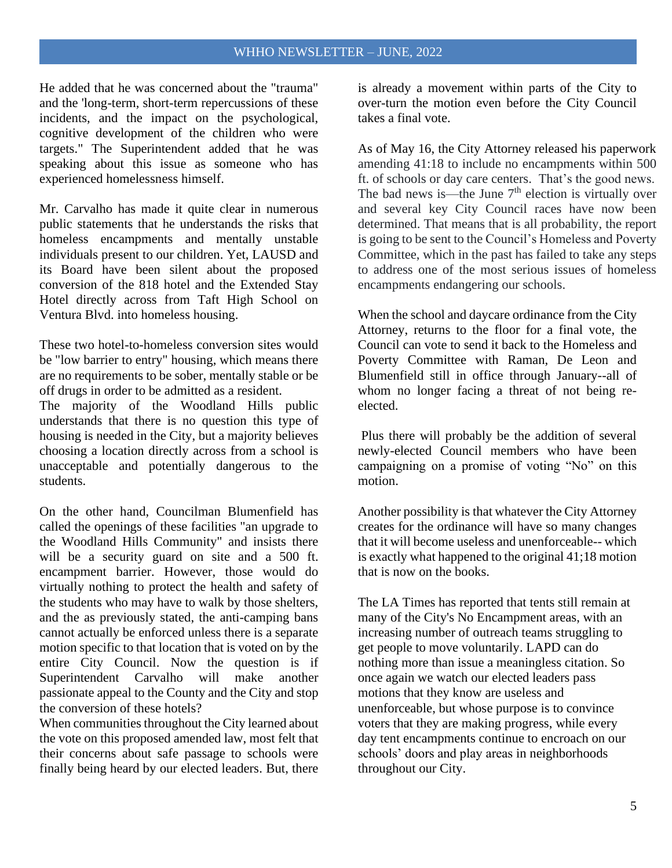#### WHHO NEWSLETTER – JUNE, 2022

He added that he was concerned about the "trauma" and the 'long-term, short-term repercussions of these incidents, and the impact on the psychological, cognitive development of the children who were targets." The Superintendent added that he was speaking about this issue as someone who has experienced homelessness himself.

Mr. Carvalho has made it quite clear in numerous public statements that he understands the risks that homeless encampments and mentally unstable individuals present to our children. Yet, LAUSD and its Board have been silent about the proposed conversion of the 818 hotel and the Extended Stay Hotel directly across from Taft High School on Ventura Blvd. into homeless housing.

These two hotel-to-homeless conversion sites would be "low barrier to entry" housing, which means there are no requirements to be sober, mentally stable or be off drugs in order to be admitted as a resident.

The majority of the Woodland Hills public understands that there is no question this type of housing is needed in the City, but a majority believes choosing a location directly across from a school is unacceptable and potentially dangerous to the students.

On the other hand, Councilman Blumenfield has called the openings of these facilities "an upgrade to the Woodland Hills Community" and insists there will be a security guard on site and a 500 ft. encampment barrier. However, those would do virtually nothing to protect the health and safety of the students who may have to walk by those shelters, and the as previously stated, the anti-camping bans cannot actually be enforced unless there is a separate motion specific to that location that is voted on by the entire City Council. Now the question is if Superintendent Carvalho will make another passionate appeal to the County and the City and stop the conversion of these hotels?

When communities throughout the City learned about the vote on this proposed amended law, most felt that their concerns about safe passage to schools were finally being heard by our elected leaders. But, there

is already a movement within parts of the City to over-turn the motion even before the City Council takes a final vote.

As of May 16, the City Attorney released his paperwork amending 41:18 to include no encampments within 500 ft. of schools or day care centers. That's the good news. The bad news is—the June  $7<sup>th</sup>$  election is virtually over and several key City Council races have now been determined. That means that is all probability, the report is going to be sent to the Council's Homeless and Poverty Committee, which in the past has failed to take any steps to address one of the most serious issues of homeless encampments endangering our schools.

When the school and daycare ordinance from the City Attorney, returns to the floor for a final vote, the Council can vote to send it back to the Homeless and Poverty Committee with Raman, De Leon and Blumenfield still in office through January--all of whom no longer facing a threat of not being reelected.

Plus there will probably be the addition of several newly-elected Council members who have been campaigning on a promise of voting "No" on this motion.

Another possibility is that whatever the City Attorney creates for the ordinance will have so many changes that it will become useless and unenforceable-- which is exactly what happened to the original 41;18 motion that is now on the books.

The LA Times has reported that tents still remain at many of the City's No Encampment areas, with an increasing number of outreach teams struggling to get people to move voluntarily. LAPD can do nothing more than issue a meaningless citation. So once again we watch our elected leaders pass motions that they know are useless and unenforceable, but whose purpose is to convince voters that they are making progress, while every day tent encampments continue to encroach on our schools' doors and play areas in neighborhoods throughout our City.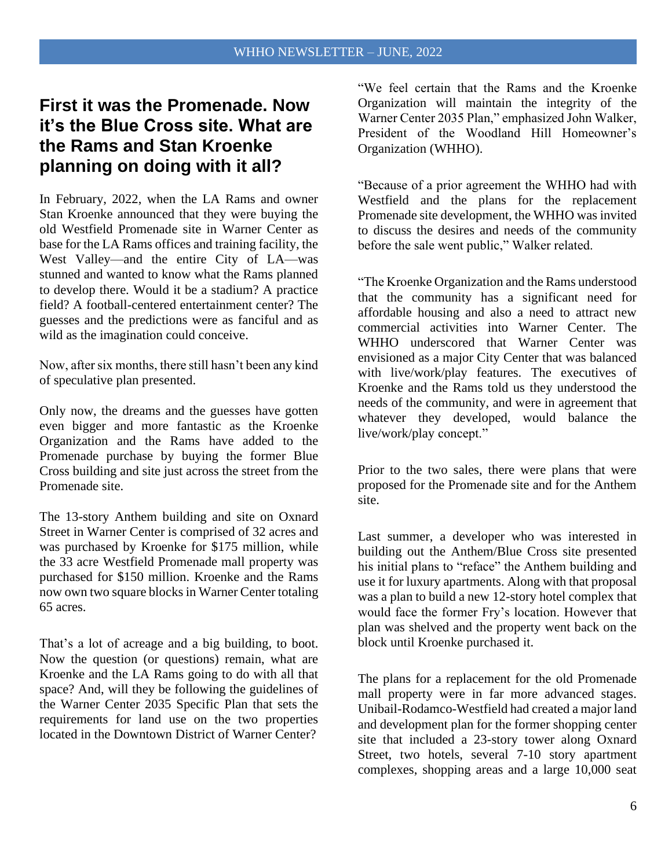## **First it was the Promenade. Now it's the Blue Cross site. What are the Rams and Stan Kroenke planning on doing with it all?**

In February, 2022, when the LA Rams and owner Stan Kroenke announced that they were buying the old Westfield Promenade site in Warner Center as base for the LA Rams offices and training facility, the West Valley—and the entire City of LA—was stunned and wanted to know what the Rams planned to develop there. Would it be a stadium? A practice field? A football-centered entertainment center? The guesses and the predictions were as fanciful and as wild as the imagination could conceive.

Now, after six months, there still hasn't been any kind of speculative plan presented.

Only now, the dreams and the guesses have gotten even bigger and more fantastic as the Kroenke Organization and the Rams have added to the Promenade purchase by buying the former Blue Cross building and site just across the street from the Promenade site.

The 13-story Anthem building and site on Oxnard Street in Warner Center is comprised of 32 acres and was purchased by Kroenke for \$175 million, while the 33 acre Westfield Promenade mall property was purchased for \$150 million. Kroenke and the Rams now own two square blocks in Warner Center totaling 65 acres.

That's a lot of acreage and a big building, to boot. Now the question (or questions) remain, what are Kroenke and the LA Rams going to do with all that space? And, will they be following the guidelines of the Warner Center 2035 Specific Plan that sets the requirements for land use on the two properties located in the Downtown District of Warner Center?

"We feel certain that the Rams and the Kroenke Organization will maintain the integrity of the Warner Center 2035 Plan," emphasized John Walker, President of the Woodland Hill Homeowner's Organization (WHHO).

"Because of a prior agreement the WHHO had with Westfield and the plans for the replacement Promenade site development, the WHHO was invited to discuss the desires and needs of the community before the sale went public," Walker related.

"The Kroenke Organization and the Rams understood that the community has a significant need for affordable housing and also a need to attract new commercial activities into Warner Center. The WHHO underscored that Warner Center was envisioned as a major City Center that was balanced with live/work/play features. The executives of Kroenke and the Rams told us they understood the needs of the community, and were in agreement that whatever they developed, would balance the live/work/play concept."

Prior to the two sales, there were plans that were proposed for the Promenade site and for the Anthem site.

Last summer, a developer who was interested in building out the Anthem/Blue Cross site presented his initial plans to "reface" the Anthem building and use it for luxury apartments. Along with that proposal was a plan to build a new 12-story hotel complex that would face the former Fry's location. However that plan was shelved and the property went back on the block until Kroenke purchased it.

The plans for a replacement for the old Promenade mall property were in far more advanced stages. Unibail-Rodamco-Westfield had created a major land and development plan for the former shopping center site that included a 23-story tower along Oxnard Street, two hotels, several 7-10 story apartment complexes, shopping areas and a large 10,000 seat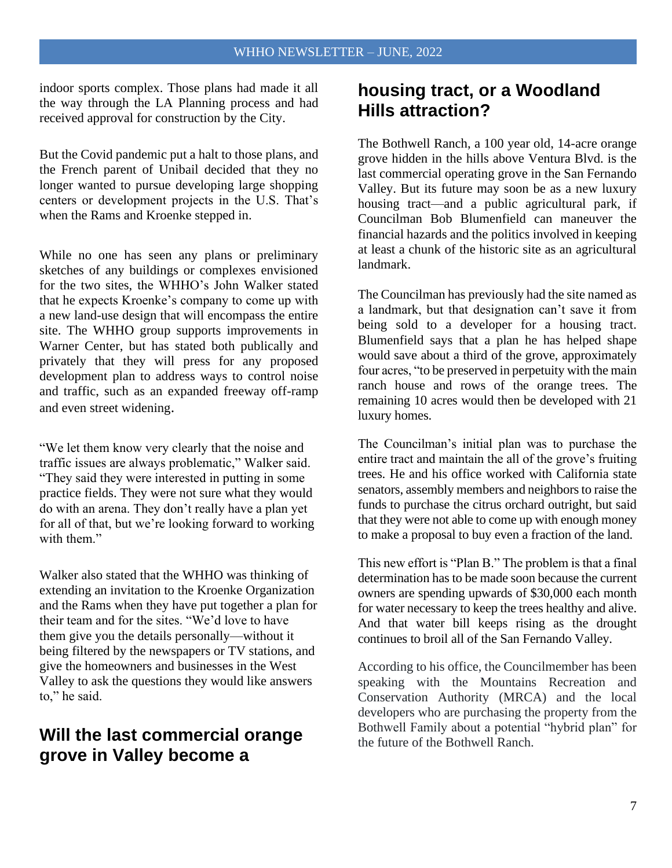indoor sports complex. Those plans had made it all the way through the LA Planning process and had received approval for construction by the City.

But the Covid pandemic put a halt to those plans, and the French parent of Unibail decided that they no longer wanted to pursue developing large shopping centers or development projects in the U.S. That's when the Rams and Kroenke stepped in.

While no one has seen any plans or preliminary sketches of any buildings or complexes envisioned for the two sites, the WHHO's John Walker stated that he expects Kroenke's company to come up with a new land-use design that will encompass the entire site. The WHHO group supports improvements in Warner Center, but has stated both publically and privately that they will press for any proposed development plan to address ways to control noise and traffic, such as an expanded freeway off-ramp and even street widening.

"We let them know very clearly that the noise and traffic issues are always problematic," Walker said. "They said they were interested in putting in some practice fields. They were not sure what they would do with an arena. They don't really have a plan yet for all of that, but we're looking forward to working with them."

Walker also stated that the WHHO was thinking of extending an invitation to the Kroenke Organization and the Rams when they have put together a plan for their team and for the sites. "We'd love to have them give you the details personally—without it being filtered by the newspapers or TV stations, and give the homeowners and businesses in the West Valley to ask the questions they would like answers to," he said.

## **Will the last commercial orange grove in Valley become a**

## **housing tract, or a Woodland Hills attraction?**

The Bothwell Ranch, a 100 year old, 14-acre orange grove hidden in the hills above Ventura Blvd. is the last commercial operating grove in the San Fernando Valley. But its future may soon be as a new luxury housing tract—and a public agricultural park, if Councilman Bob Blumenfield can maneuver the financial hazards and the politics involved in keeping at least a chunk of the historic site as an agricultural landmark.

The Councilman has previously had the site named as a landmark, but that designation can't save it from being sold to a developer for a housing tract. Blumenfield says that a plan he has helped shape would save about a third of the grove, approximately four acres, "to be preserved in perpetuity with the main ranch house and rows of the orange trees. The remaining 10 acres would then be developed with 21 luxury homes.

The Councilman's initial plan was to purchase the entire tract and maintain the all of the grove's fruiting trees. He and his office worked with California state senators, assembly members and neighbors to raise the funds to purchase the citrus orchard outright, but said that they were not able to come up with enough money to make a proposal to buy even a fraction of the land.

This new effort is "Plan B." The problem is that a final determination has to be made soon because the current owners are spending upwards of \$30,000 each month for water necessary to keep the trees healthy and alive. And that water bill keeps rising as the drought continues to broil all of the San Fernando Valley.

According to his office, the Councilmember has been speaking with the Mountains Recreation and Conservation Authority (MRCA) and the local developers who are purchasing the property from the Bothwell Family about a potential "hybrid plan" for the future of the Bothwell Ranch.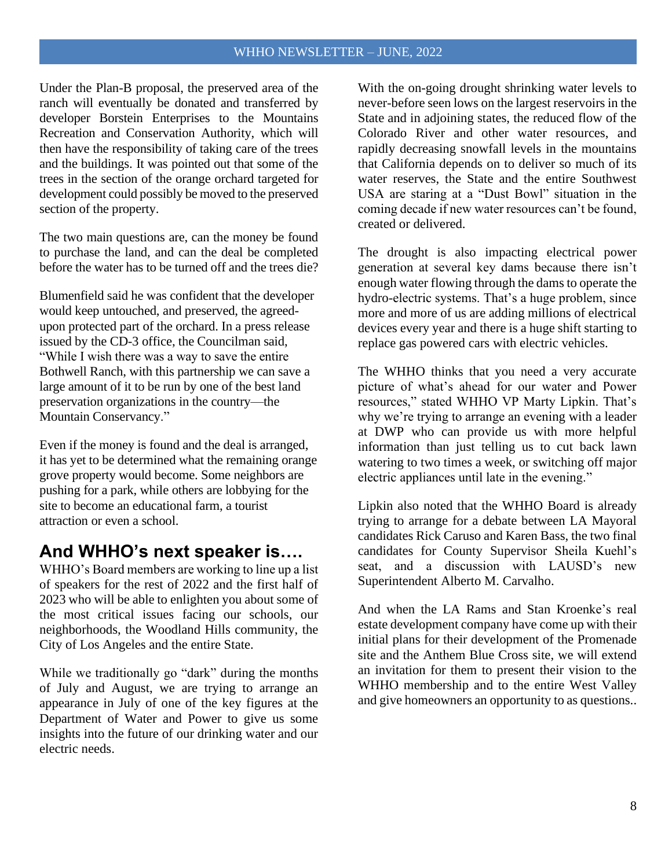#### WHHO NEWSLETTER – JUNE, 2022

Under the Plan-B proposal, the preserved area of the ranch will eventually be donated and transferred by developer Borstein Enterprises to the Mountains Recreation and Conservation Authority, which will then have the responsibility of taking care of the trees and the buildings. It was pointed out that some of the trees in the section of the orange orchard targeted for development could possibly be moved to the preserved section of the property.

The two main questions are, can the money be found to purchase the land, and can the deal be completed before the water has to be turned off and the trees die?

Blumenfield said he was confident that the developer would keep untouched, and preserved, the agreedupon protected part of the orchard. In a press release issued by the CD-3 office, the Councilman said, "While I wish there was a way to save the entire Bothwell Ranch, with this partnership we can save a large amount of it to be run by one of the best land preservation organizations in the country—the Mountain Conservancy."

Even if the money is found and the deal is arranged, it has yet to be determined what the remaining orange grove property would become. Some neighbors are pushing for a park, while others are lobbying for the site to become an educational farm, a tourist attraction or even a school.

## **And WHHO's next speaker is….**

WHHO's Board members are working to line up a list of speakers for the rest of 2022 and the first half of 2023 who will be able to enlighten you about some of the most critical issues facing our schools, our neighborhoods, the Woodland Hills community, the City of Los Angeles and the entire State.

While we traditionally go "dark" during the months of July and August, we are trying to arrange an appearance in July of one of the key figures at the Department of Water and Power to give us some insights into the future of our drinking water and our electric needs.

With the on-going drought shrinking water levels to never-before seen lows on the largest reservoirs in the State and in adjoining states, the reduced flow of the Colorado River and other water resources, and rapidly decreasing snowfall levels in the mountains that California depends on to deliver so much of its water reserves, the State and the entire Southwest USA are staring at a "Dust Bowl" situation in the coming decade if new water resources can't be found, created or delivered.

The drought is also impacting electrical power generation at several key dams because there isn't enough water flowing through the dams to operate the hydro-electric systems. That's a huge problem, since more and more of us are adding millions of electrical devices every year and there is a huge shift starting to replace gas powered cars with electric vehicles.

The WHHO thinks that you need a very accurate picture of what's ahead for our water and Power resources," stated WHHO VP Marty Lipkin. That's why we're trying to arrange an evening with a leader at DWP who can provide us with more helpful information than just telling us to cut back lawn watering to two times a week, or switching off major electric appliances until late in the evening."

Lipkin also noted that the WHHO Board is already trying to arrange for a debate between LA Mayoral candidates Rick Caruso and Karen Bass, the two final candidates for County Supervisor Sheila Kuehl's seat, and a discussion with LAUSD's new Superintendent Alberto M. Carvalho.

And when the LA Rams and Stan Kroenke's real estate development company have come up with their initial plans for their development of the Promenade site and the Anthem Blue Cross site, we will extend an invitation for them to present their vision to the WHHO membership and to the entire West Valley and give homeowners an opportunity to as questions..